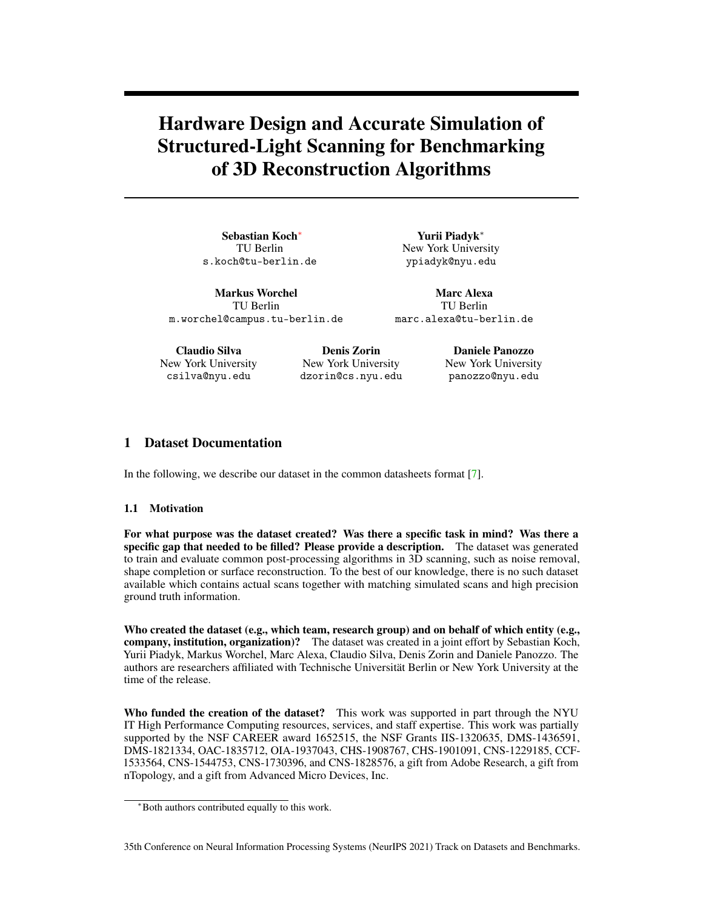# Hardware Design and Accurate Simulation of Structured-Light Scanning for Benchmarking of 3D Reconstruction Algorithms

Sebastian Koch<sup>∗</sup> TU Berlin s.koch@tu-berlin.de

Yurii Piadyk<sup>∗</sup> New York University ypiadyk@nyu.edu

Markus Worchel TU Berlin m.worchel@campus.tu-berlin.de

Marc Alexa TU Berlin marc.alexa@tu-berlin.de

Claudio Silva New York University csilva@nyu.edu

Denis Zorin New York University dzorin@cs.nyu.edu

Daniele Panozzo New York University panozzo@nyu.edu

# 1 Dataset Documentation

In the following, we describe our dataset in the common datasheets format [\[7\]](#page-5-0).

## 1.1 Motivation

For what purpose was the dataset created? Was there a specific task in mind? Was there a specific gap that needed to be filled? Please provide a description. The dataset was generated to train and evaluate common post-processing algorithms in 3D scanning, such as noise removal, shape completion or surface reconstruction. To the best of our knowledge, there is no such dataset available which contains actual scans together with matching simulated scans and high precision ground truth information.

Who created the dataset (e.g., which team, research group) and on behalf of which entity (e.g., company, institution, organization)? The dataset was created in a joint effort by Sebastian Koch, Yurii Piadyk, Markus Worchel, Marc Alexa, Claudio Silva, Denis Zorin and Daniele Panozzo. The authors are researchers affiliated with Technische Universität Berlin or New York University at the time of the release.

Who funded the creation of the dataset? This work was supported in part through the NYU IT High Performance Computing resources, services, and staff expertise. This work was partially supported by the NSF CAREER award 1652515, the NSF Grants IIS-1320635, DMS-1436591, DMS-1821334, OAC-1835712, OIA-1937043, CHS-1908767, CHS-1901091, CNS-1229185, CCF-1533564, CNS-1544753, CNS-1730396, and CNS-1828576, a gift from Adobe Research, a gift from nTopology, and a gift from Advanced Micro Devices, Inc.

35th Conference on Neural Information Processing Systems (NeurIPS 2021) Track on Datasets and Benchmarks.

<sup>∗</sup>Both authors contributed equally to this work.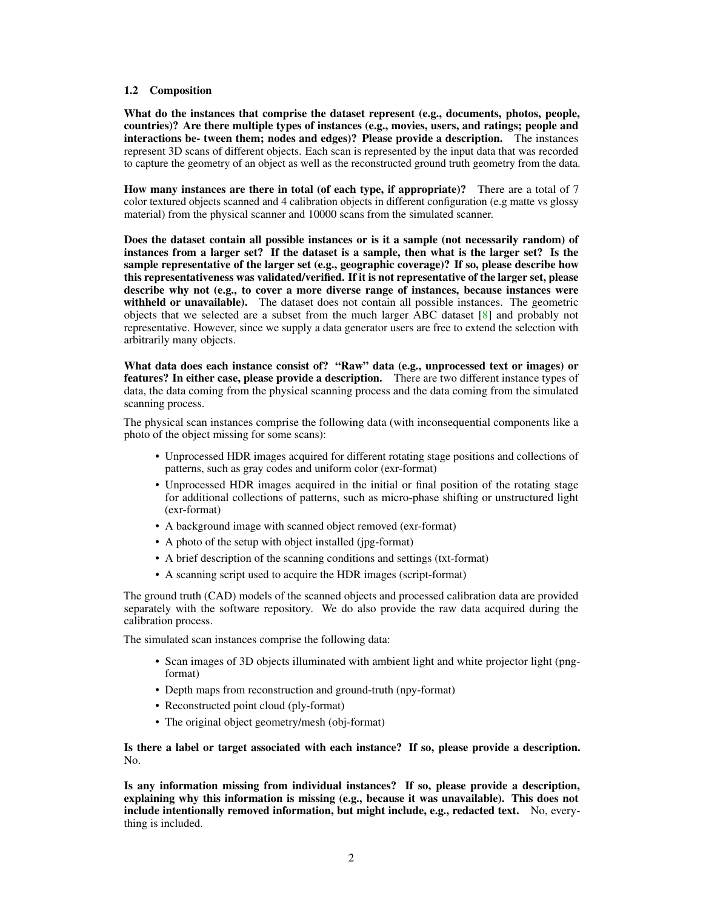### 1.2 Composition

What do the instances that comprise the dataset represent (e.g., documents, photos, people, countries)? Are there multiple types of instances (e.g., movies, users, and ratings; people and interactions be- tween them; nodes and edges)? Please provide a description. The instances represent 3D scans of different objects. Each scan is represented by the input data that was recorded to capture the geometry of an object as well as the reconstructed ground truth geometry from the data.

How many instances are there in total (of each type, if appropriate)? There are a total of 7 color textured objects scanned and 4 calibration objects in different configuration (e.g matte vs glossy material) from the physical scanner and 10000 scans from the simulated scanner.

Does the dataset contain all possible instances or is it a sample (not necessarily random) of instances from a larger set? If the dataset is a sample, then what is the larger set? Is the sample representative of the larger set (e.g., geographic coverage)? If so, please describe how this representativeness was validated/verified. If it is not representative of the larger set, please describe why not (e.g., to cover a more diverse range of instances, because instances were withheld or unavailable). The dataset does not contain all possible instances. The geometric objects that we selected are a subset from the much larger ABC dataset [\[8\]](#page-5-1) and probably not representative. However, since we supply a data generator users are free to extend the selection with arbitrarily many objects.

What data does each instance consist of? "Raw" data (e.g., unprocessed text or images) or features? In either case, please provide a description. There are two different instance types of data, the data coming from the physical scanning process and the data coming from the simulated scanning process.

The physical scan instances comprise the following data (with inconsequential components like a photo of the object missing for some scans):

- Unprocessed HDR images acquired for different rotating stage positions and collections of patterns, such as gray codes and uniform color (exr-format)
- Unprocessed HDR images acquired in the initial or final position of the rotating stage for additional collections of patterns, such as micro-phase shifting or unstructured light (exr-format)
- A background image with scanned object removed (exr-format)
- A photo of the setup with object installed (jpg-format)
- A brief description of the scanning conditions and settings (txt-format)
- A scanning script used to acquire the HDR images (script-format)

The ground truth (CAD) models of the scanned objects and processed calibration data are provided separately with the software repository. We do also provide the raw data acquired during the calibration process.

The simulated scan instances comprise the following data:

- Scan images of 3D objects illuminated with ambient light and white projector light (pngformat)
- Depth maps from reconstruction and ground-truth (npy-format)
- Reconstructed point cloud (ply-format)
- The original object geometry/mesh (obj-format)

Is there a label or target associated with each instance? If so, please provide a description. No.

Is any information missing from individual instances? If so, please provide a description, explaining why this information is missing (e.g., because it was unavailable). This does not include intentionally removed information, but might include, e.g., redacted text. No, everything is included.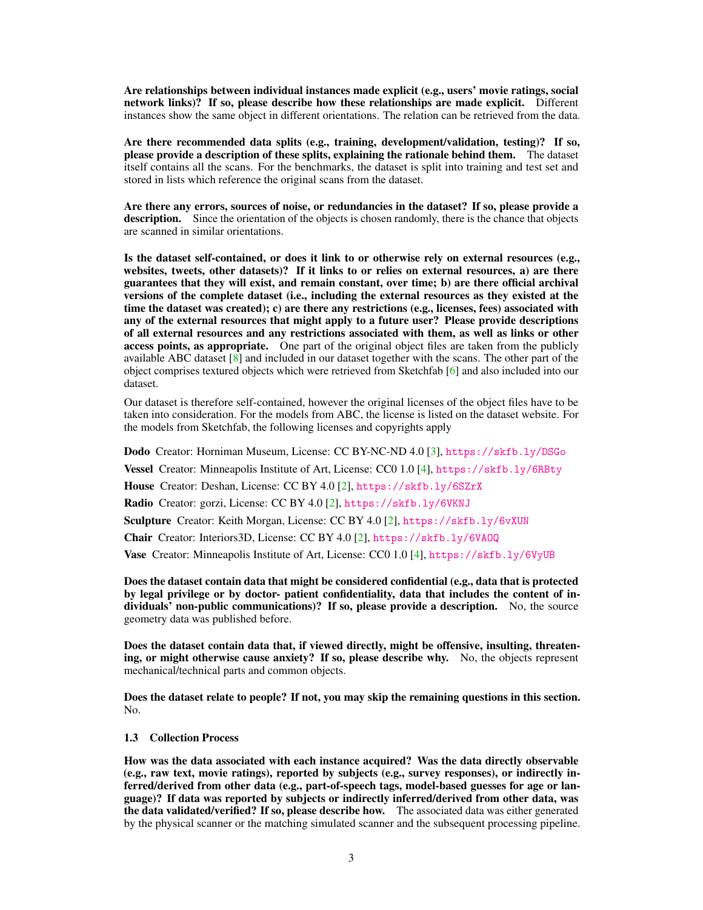Are relationships between individual instances made explicit (e.g., users' movie ratings, social network links)? If so, please describe how these relationships are made explicit. Different instances show the same object in different orientations. The relation can be retrieved from the data.

Are there recommended data splits (e.g., training, development/validation, testing)? If so, please provide a description of these splits, explaining the rationale behind them. The dataset itself contains all the scans. For the benchmarks, the dataset is split into training and test set and stored in lists which reference the original scans from the dataset.

Are there any errors, sources of noise, or redundancies in the dataset? If so, please provide a description. Since the orientation of the objects is chosen randomly, there is the chance that objects are scanned in similar orientations.

Is the dataset self-contained, or does it link to or otherwise rely on external resources (e.g., websites, tweets, other datasets)? If it links to or relies on external resources, a) are there guarantees that they will exist, and remain constant, over time; b) are there official archival versions of the complete dataset (i.e., including the external resources as they existed at the time the dataset was created); c) are there any restrictions (e.g., licenses, fees) associated with any of the external resources that might apply to a future user? Please provide descriptions of all external resources and any restrictions associated with them, as well as links or other access points, as appropriate. One part of the original object files are taken from the publicly available ABC dataset  $[8]$  and included in our dataset together with the scans. The other part of the object comprises textured objects which were retrieved from Sketchfab [\[6\]](#page-5-2) and also included into our dataset.

Our dataset is therefore self-contained, however the original licenses of the object files have to be taken into consideration. For the models from ABC, the license is listed on the dataset website. For the models from Sketchfab, the following licenses and copyrights apply

Dodo Creator: Horniman Museum, License: CC BY-NC-ND 4.0 [\[3\]](#page-5-3), <https://skfb.ly/DSGo>

Vessel Creator: Minneapolis Institute of Art, License: CC0 1.0 [\[4\]](#page-5-4), <https://skfb.ly/6RBty>

House Creator: Deshan, License: CC BY 4.0 [\[2\]](#page-5-5), <https://skfb.ly/6SZrX>

Radio Creator: gorzi, License: CC BY 4.0 [\[2\]](#page-5-5), <https://skfb.ly/6VKNJ>

Sculpture Creator: Keith Morgan, License: CC BY 4.0 [\[2\]](#page-5-5), <https://skfb.ly/6vXUN>

Chair Creator: Interiors3D, License: CC BY 4.0 [\[2\]](#page-5-5), <https://skfb.ly/6VAOQ>

Vase Creator: Minneapolis Institute of Art, License: CC0 1.0 [\[4\]](#page-5-4), <https://skfb.ly/6VyUB>

Does the dataset contain data that might be considered confidential (e.g., data that is protected by legal privilege or by doctor- patient confidentiality, data that includes the content of individuals' non-public communications)? If so, please provide a description. No, the source geometry data was published before.

Does the dataset contain data that, if viewed directly, might be offensive, insulting, threatening, or might otherwise cause anxiety? If so, please describe why. No, the objects represent mechanical/technical parts and common objects.

Does the dataset relate to people? If not, you may skip the remaining questions in this section. No.

## 1.3 Collection Process

How was the data associated with each instance acquired? Was the data directly observable (e.g., raw text, movie ratings), reported by subjects (e.g., survey responses), or indirectly inferred/derived from other data (e.g., part-of-speech tags, model-based guesses for age or language)? If data was reported by subjects or indirectly inferred/derived from other data, was the data validated/verified? If so, please describe how. The associated data was either generated by the physical scanner or the matching simulated scanner and the subsequent processing pipeline.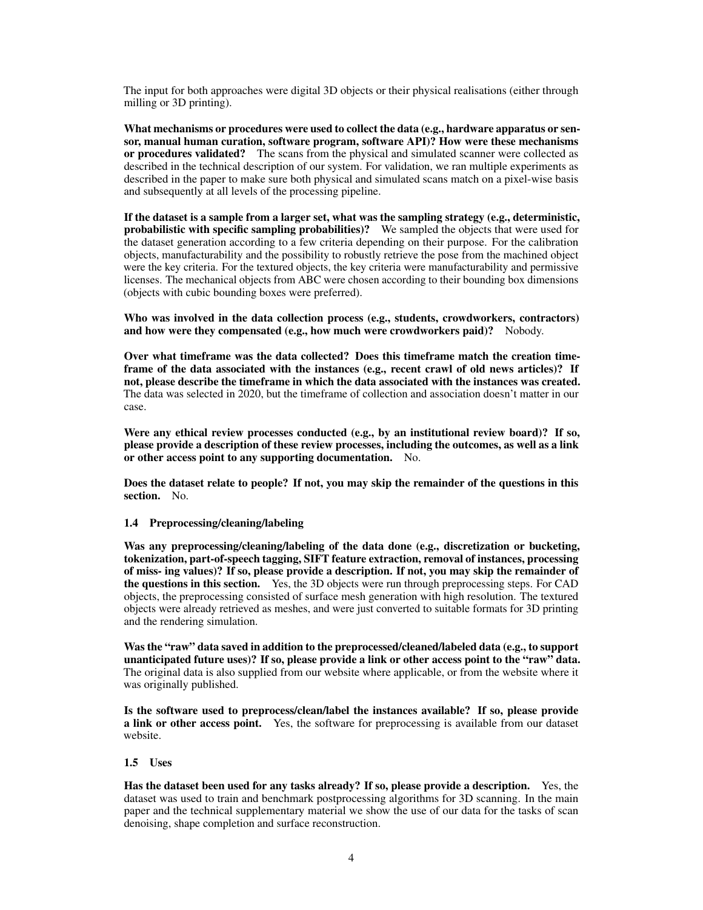The input for both approaches were digital 3D objects or their physical realisations (either through milling or 3D printing).

What mechanisms or procedures were used to collect the data (e.g., hardware apparatus or sensor, manual human curation, software program, software API)? How were these mechanisms or procedures validated? The scans from the physical and simulated scanner were collected as described in the technical description of our system. For validation, we ran multiple experiments as described in the paper to make sure both physical and simulated scans match on a pixel-wise basis and subsequently at all levels of the processing pipeline.

If the dataset is a sample from a larger set, what was the sampling strategy (e.g., deterministic, probabilistic with specific sampling probabilities)? We sampled the objects that were used for the dataset generation according to a few criteria depending on their purpose. For the calibration objects, manufacturability and the possibility to robustly retrieve the pose from the machined object were the key criteria. For the textured objects, the key criteria were manufacturability and permissive licenses. The mechanical objects from ABC were chosen according to their bounding box dimensions (objects with cubic bounding boxes were preferred).

Who was involved in the data collection process (e.g., students, crowdworkers, contractors) and how were they compensated (e.g., how much were crowdworkers paid)? Nobody.

Over what timeframe was the data collected? Does this timeframe match the creation timeframe of the data associated with the instances (e.g., recent crawl of old news articles)? If not, please describe the timeframe in which the data associated with the instances was created. The data was selected in 2020, but the timeframe of collection and association doesn't matter in our case.

Were any ethical review processes conducted (e.g., by an institutional review board)? If so, please provide a description of these review processes, including the outcomes, as well as a link or other access point to any supporting documentation. No.

Does the dataset relate to people? If not, you may skip the remainder of the questions in this section. No.

## 1.4 Preprocessing/cleaning/labeling

Was any preprocessing/cleaning/labeling of the data done (e.g., discretization or bucketing, tokenization, part-of-speech tagging, SIFT feature extraction, removal of instances, processing of miss- ing values)? If so, please provide a description. If not, you may skip the remainder of the questions in this section. Yes, the 3D objects were run through preprocessing steps. For CAD objects, the preprocessing consisted of surface mesh generation with high resolution. The textured objects were already retrieved as meshes, and were just converted to suitable formats for 3D printing and the rendering simulation.

Was the "raw" data saved in addition to the preprocessed/cleaned/labeled data (e.g., to support unanticipated future uses)? If so, please provide a link or other access point to the "raw" data. The original data is also supplied from our website where applicable, or from the website where it was originally published.

Is the software used to preprocess/clean/label the instances available? If so, please provide **a link or other access point.** Yes, the software for preprocessing is available from our dataset website.

#### 1.5 Uses

Has the dataset been used for any tasks already? If so, please provide a description. Yes, the dataset was used to train and benchmark postprocessing algorithms for 3D scanning. In the main paper and the technical supplementary material we show the use of our data for the tasks of scan denoising, shape completion and surface reconstruction.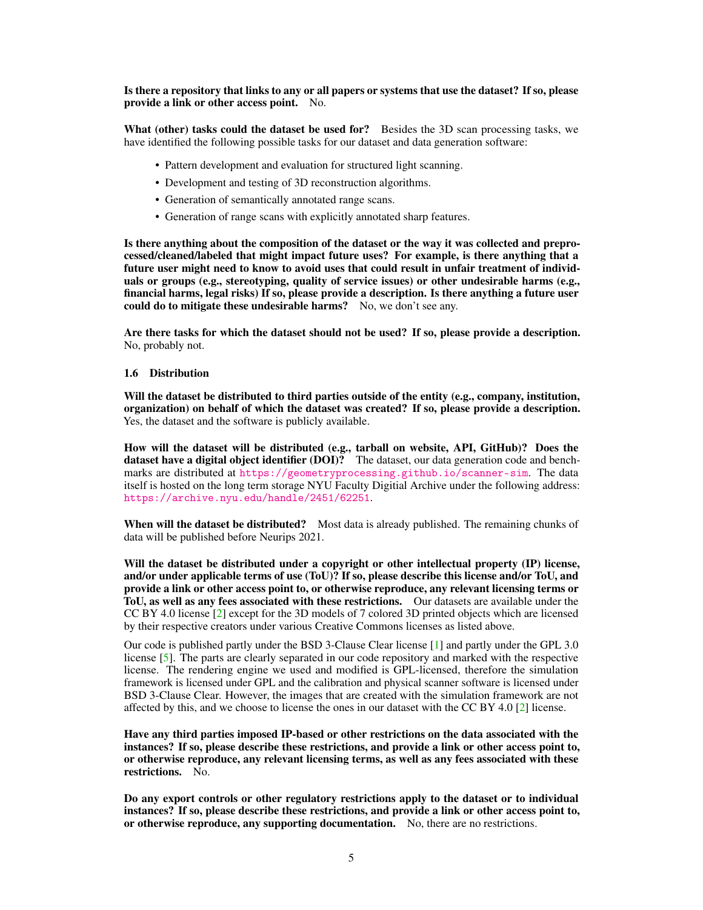Is there a repository that links to any or all papers or systems that use the dataset? If so, please provide a link or other access point. No.

What (other) tasks could the dataset be used for? Besides the 3D scan processing tasks, we have identified the following possible tasks for our dataset and data generation software:

- Pattern development and evaluation for structured light scanning.
- Development and testing of 3D reconstruction algorithms.
- Generation of semantically annotated range scans.
- Generation of range scans with explicitly annotated sharp features.

Is there anything about the composition of the dataset or the way it was collected and preprocessed/cleaned/labeled that might impact future uses? For example, is there anything that a future user might need to know to avoid uses that could result in unfair treatment of individuals or groups (e.g., stereotyping, quality of service issues) or other undesirable harms (e.g., financial harms, legal risks) If so, please provide a description. Is there anything a future user could do to mitigate these undesirable harms? No, we don't see any.

Are there tasks for which the dataset should not be used? If so, please provide a description. No, probably not.

### 1.6 Distribution

Will the dataset be distributed to third parties outside of the entity (e.g., company, institution, organization) on behalf of which the dataset was created? If so, please provide a description. Yes, the dataset and the software is publicly available.

How will the dataset will be distributed (e.g., tarball on website, API, GitHub)? Does the dataset have a digital object identifier (DOI)? The dataset, our data generation code and benchmarks are distributed at <https://geometryprocessing.github.io/scanner-sim>. The data itself is hosted on the long term storage NYU Faculty Digitial Archive under the following address: <https://archive.nyu.edu/handle/2451/62251>.

When will the dataset be distributed? Most data is already published. The remaining chunks of data will be published before Neurips 2021.

Will the dataset be distributed under a copyright or other intellectual property (IP) license, and/or under applicable terms of use (ToU)? If so, please describe this license and/or ToU, and provide a link or other access point to, or otherwise reproduce, any relevant licensing terms or ToU, as well as any fees associated with these restrictions. Our datasets are available under the CC BY 4.0 license [\[2\]](#page-5-5) except for the 3D models of 7 colored 3D printed objects which are licensed by their respective creators under various Creative Commons licenses as listed above.

Our code is published partly under the BSD 3-Clause Clear license [\[1\]](#page-5-6) and partly under the GPL 3.0 license [\[5\]](#page-5-7). The parts are clearly separated in our code repository and marked with the respective license. The rendering engine we used and modified is GPL-licensed, therefore the simulation framework is licensed under GPL and the calibration and physical scanner software is licensed under BSD 3-Clause Clear. However, the images that are created with the simulation framework are not affected by this, and we choose to license the ones in our dataset with the CC BY 4.0 [\[2\]](#page-5-5) license.

Have any third parties imposed IP-based or other restrictions on the data associated with the instances? If so, please describe these restrictions, and provide a link or other access point to, or otherwise reproduce, any relevant licensing terms, as well as any fees associated with these restrictions. No.

Do any export controls or other regulatory restrictions apply to the dataset or to individual instances? If so, please describe these restrictions, and provide a link or other access point to, or otherwise reproduce, any supporting documentation. No, there are no restrictions.